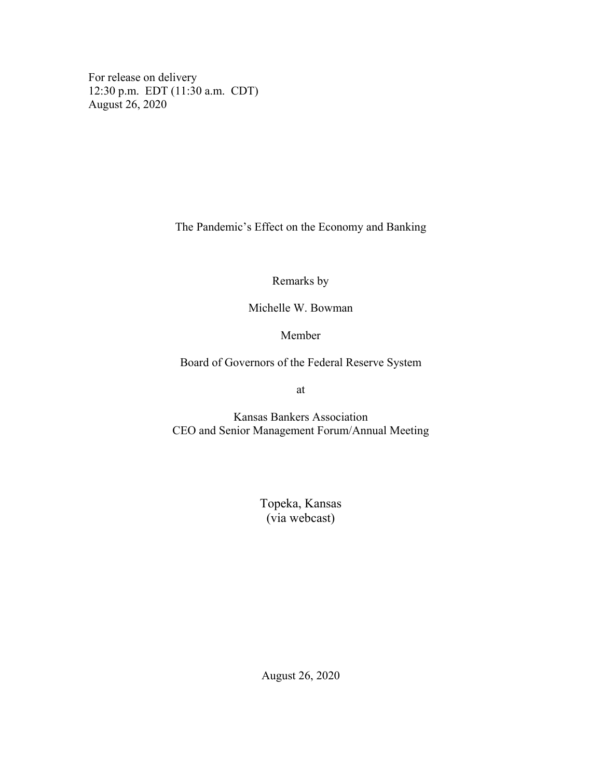For release on delivery 12:30 p.m. EDT (11:30 a.m. CDT) August 26, 2020

The Pandemic's Effect on the Economy and Banking

Remarks by

Michelle W. Bowman

Member

Board of Governors of the Federal Reserve System

at

Kansas Bankers Association CEO and Senior Management Forum/Annual Meeting

> Topeka, Kansas (via webcast)

August 26, 2020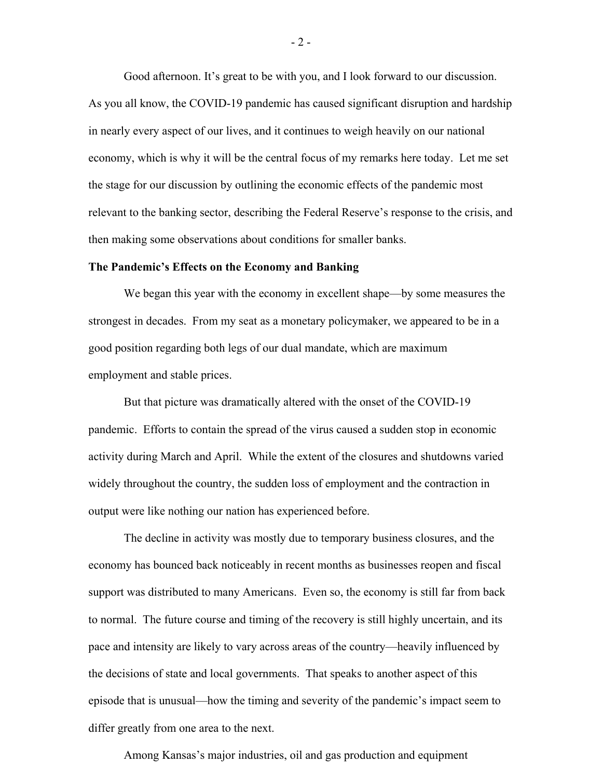Good afternoon. It's great to be with you, and I look forward to our discussion. As you all know, the COVID-19 pandemic has caused significant disruption and hardship in nearly every aspect of our lives, and it continues to weigh heavily on our national economy, which is why it will be the central focus of my remarks here today. Let me set the stage for our discussion by outlining the economic effects of the pandemic most relevant to the banking sector, describing the Federal Reserve's response to the crisis, and then making some observations about conditions for smaller banks.

## **The Pandemic's Effects on the Economy and Banking**

We began this year with the economy in excellent shape—by some measures the strongest in decades. From my seat as a monetary policymaker, we appeared to be in a good position regarding both legs of our dual mandate, which are maximum employment and stable prices.

But that picture was dramatically altered with the onset of the COVID-19 pandemic. Efforts to contain the spread of the virus caused a sudden stop in economic activity during March and April. While the extent of the closures and shutdowns varied widely throughout the country, the sudden loss of employment and the contraction in output were like nothing our nation has experienced before.

The decline in activity was mostly due to temporary business closures, and the economy has bounced back noticeably in recent months as businesses reopen and fiscal support was distributed to many Americans. Even so, the economy is still far from back to normal. The future course and timing of the recovery is still highly uncertain, and its pace and intensity are likely to vary across areas of the country—heavily influenced by the decisions of state and local governments. That speaks to another aspect of this episode that is unusual—how the timing and severity of the pandemic's impact seem to differ greatly from one area to the next.

Among Kansas's major industries, oil and gas production and equipment

- 2 -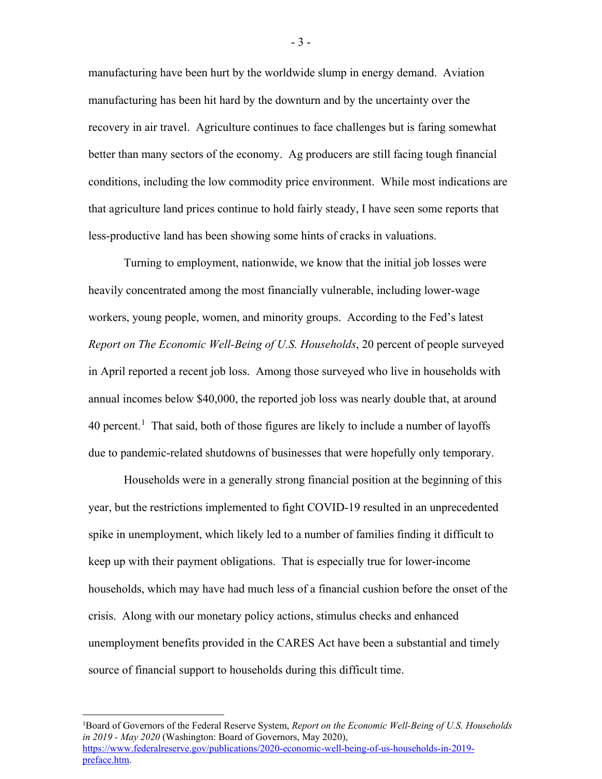manufacturing have been hurt by the worldwide slump in energy demand. Aviation manufacturing has been hit hard by the downturn and by the uncertainty over the recovery in air travel. Agriculture continues to face challenges but is faring somewhat better than many sectors of the economy. Ag producers are still facing tough financial conditions, including the low commodity price environment. While most indications are that agriculture land prices continue to hold fairly steady, I have seen some reports that less-productive land has been showing some hints of cracks in valuations.

Turning to employment, nationwide, we know that the initial job losses were heavily concentrated among the most financially vulnerable, including lower-wage workers, young people, women, and minority groups. According to the Fed's latest *Report on The Economic Well-Being of U.S. Households*, 20 percent of people surveyed in April reported a recent job loss. Among those surveyed who live in households with annual incomes below \$40,000, the reported job loss was nearly double that, at around 40 percent.<sup>[1](#page-2-0)</sup> That said, both of those figures are likely to include a number of layoffs due to pandemic-related shutdowns of businesses that were hopefully only temporary.

Households were in a generally strong financial position at the beginning of this year, but the restrictions implemented to fight COVID-19 resulted in an unprecedented spike in unemployment, which likely led to a number of families finding it difficult to keep up with their payment obligations. That is especially true for lower-income households, which may have had much less of a financial cushion before the onset of the crisis. Along with our monetary policy actions, stimulus checks and enhanced unemployment benefits provided in the CARES Act have been a substantial and timely source of financial support to households during this difficult time.

<span id="page-2-0"></span>|<br>|<br>| <sup>1</sup>Board of Governors of the Federal Reserve System, *Report on the Economic Well-Being of U.S. Households in 2019 - May 2020* (Washington: Board of Governors, May 2020), [https://www.federalreserve.gov/publications/2020-economic-well-being-of-us-households-in-2019](https://www.federalreserve.gov/publications/2020-economic-well-being-of-us-households-in-2019-preface.htm) [preface.htm.](https://www.federalreserve.gov/publications/2020-economic-well-being-of-us-households-in-2019-preface.htm)

- 3 -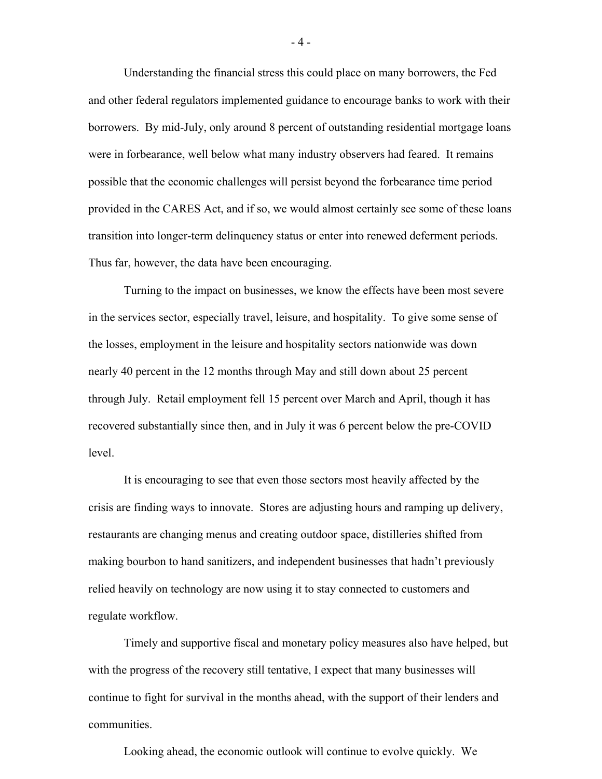Understanding the financial stress this could place on many borrowers, the Fed and other federal regulators implemented guidance to encourage banks to work with their borrowers. By mid-July, only around 8 percent of outstanding residential mortgage loans were in forbearance, well below what many industry observers had feared. It remains possible that the economic challenges will persist beyond the forbearance time period provided in the CARES Act, and if so, we would almost certainly see some of these loans transition into longer-term delinquency status or enter into renewed deferment periods. Thus far, however, the data have been encouraging.

Turning to the impact on businesses, we know the effects have been most severe in the services sector, especially travel, leisure, and hospitality. To give some sense of the losses, employment in the leisure and hospitality sectors nationwide was down nearly 40 percent in the 12 months through May and still down about 25 percent through July. Retail employment fell 15 percent over March and April, though it has recovered substantially since then, and in July it was 6 percent below the pre-COVID level.

It is encouraging to see that even those sectors most heavily affected by the crisis are finding ways to innovate. Stores are adjusting hours and ramping up delivery, restaurants are changing menus and creating outdoor space, distilleries shifted from making bourbon to hand sanitizers, and independent businesses that hadn't previously relied heavily on technology are now using it to stay connected to customers and regulate workflow.

Timely and supportive fiscal and monetary policy measures also have helped, but with the progress of the recovery still tentative, I expect that many businesses will continue to fight for survival in the months ahead, with the support of their lenders and communities.

Looking ahead, the economic outlook will continue to evolve quickly. We

 $-4 -$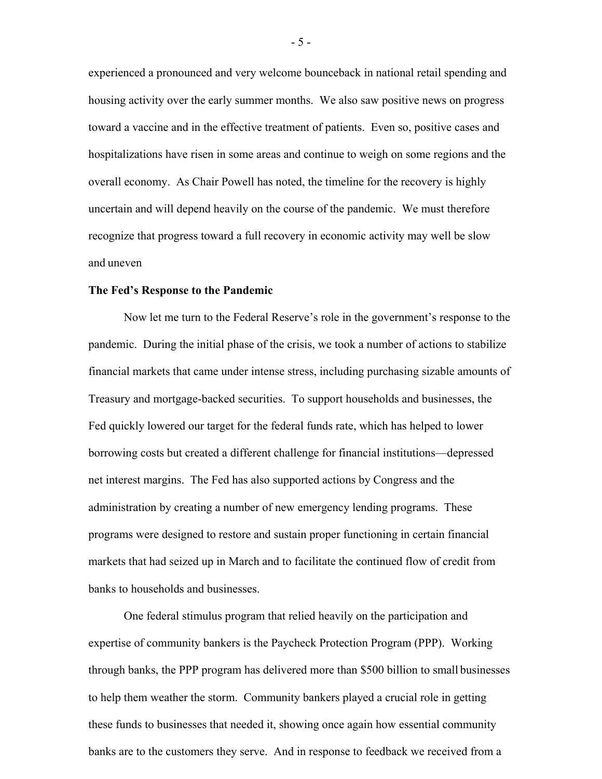experienced a pronounced and very welcome bounceback in national retail spending and housing activity over the early summer months. We also saw positive news on progress toward a vaccine and in the effective treatment of patients. Even so, positive cases and hospitalizations have risen in some areas and continue to weigh on some regions and the overall economy. As Chair Powell has noted, the timeline for the recovery is highly uncertain and will depend heavily on the course of the pandemic. We must therefore recognize that progress toward a full recovery in economic activity may well be slow and uneven

## **The Fed's Response to the Pandemic**

Now let me turn to the Federal Reserve's role in the government's response to the pandemic. During the initial phase of the crisis, we took a number of actions to stabilize financial markets that came under intense stress, including purchasing sizable amounts of Treasury and mortgage-backed securities. To support households and businesses, the Fed quickly lowered our target for the federal funds rate, which has helped to lower borrowing costs but created a different challenge for financial institutions—depressed net interest margins. The Fed has also supported actions by Congress and the administration by creating a number of new emergency lending programs. These programs were designed to restore and sustain proper functioning in certain financial markets that had seized up in March and to facilitate the continued flow of credit from banks to households and businesses.

One federal stimulus program that relied heavily on the participation and expertise of community bankers is the Paycheck Protection Program (PPP). Working through banks, the PPP program has delivered more than \$500 billion to small businesses to help them weather the storm. Community bankers played a crucial role in getting these funds to businesses that needed it, showing once again how essential community banks are to the customers they serve. And in response to feedback we received from a

- 5 -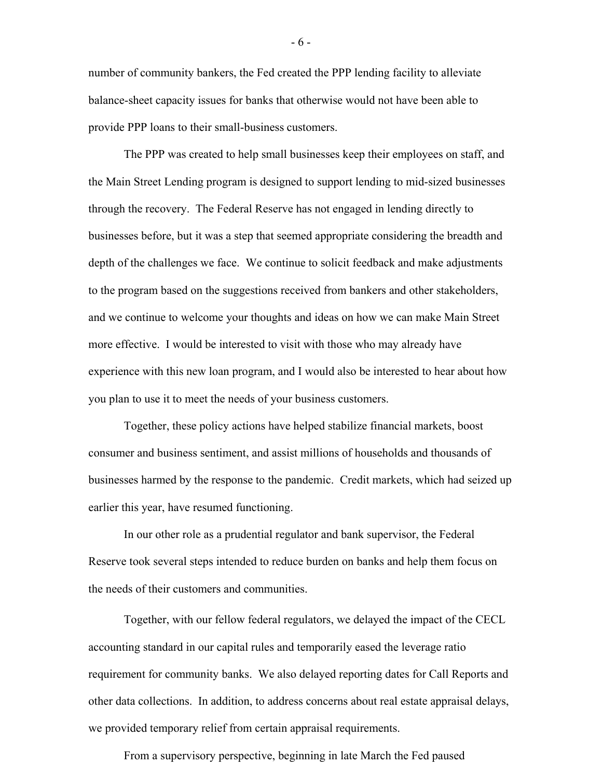number of community bankers, the Fed created the PPP lending facility to alleviate balance-sheet capacity issues for banks that otherwise would not have been able to provide PPP loans to their small-business customers.

The PPP was created to help small businesses keep their employees on staff, and the Main Street Lending program is designed to support lending to mid-sized businesses through the recovery. The Federal Reserve has not engaged in lending directly to businesses before, but it was a step that seemed appropriate considering the breadth and depth of the challenges we face. We continue to solicit feedback and make adjustments to the program based on the suggestions received from bankers and other stakeholders, and we continue to welcome your thoughts and ideas on how we can make Main Street more effective. I would be interested to visit with those who may already have experience with this new loan program, and I would also be interested to hear about how you plan to use it to meet the needs of your business customers.

Together, these policy actions have helped stabilize financial markets, boost consumer and business sentiment, and assist millions of households and thousands of businesses harmed by the response to the pandemic. Credit markets, which had seized up earlier this year, have resumed functioning.

In our other role as a prudential regulator and bank supervisor, the Federal Reserve took several steps intended to reduce burden on banks and help them focus on the needs of their customers and communities.

Together, with our fellow federal regulators, we delayed the impact of the CECL accounting standard in our capital rules and temporarily eased the leverage ratio requirement for community banks. We also delayed reporting dates for Call Reports and other data collections. In addition, to address concerns about real estate appraisal delays, we provided temporary relief from certain appraisal requirements.

From a supervisory perspective, beginning in late March the Fed paused

- 6 -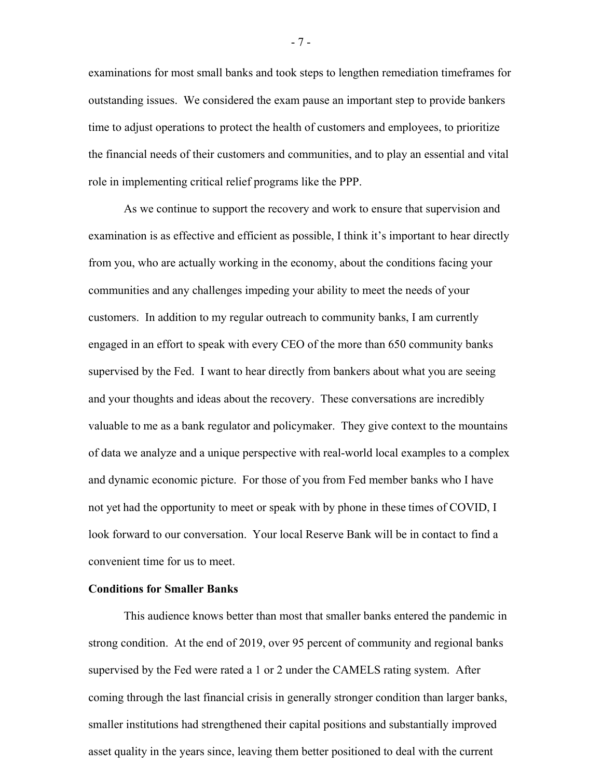examinations for most small banks and took steps to lengthen remediation timeframes for outstanding issues. We considered the exam pause an important step to provide bankers time to adjust operations to protect the health of customers and employees, to prioritize the financial needs of their customers and communities, and to play an essential and vital role in implementing critical relief programs like the PPP.

As we continue to support the recovery and work to ensure that supervision and examination is as effective and efficient as possible, I think it's important to hear directly from you, who are actually working in the economy, about the conditions facing your communities and any challenges impeding your ability to meet the needs of your customers. In addition to my regular outreach to community banks, I am currently engaged in an effort to speak with every CEO of the more than 650 community banks supervised by the Fed. I want to hear directly from bankers about what you are seeing and your thoughts and ideas about the recovery. These conversations are incredibly valuable to me as a bank regulator and policymaker. They give context to the mountains of data we analyze and a unique perspective with real-world local examples to a complex and dynamic economic picture. For those of you from Fed member banks who I have not yet had the opportunity to meet or speak with by phone in these times of COVID, I look forward to our conversation. Your local Reserve Bank will be in contact to find a convenient time for us to meet.

## **Conditions for Smaller Banks**

This audience knows better than most that smaller banks entered the pandemic in strong condition. At the end of 2019, over 95 percent of community and regional banks supervised by the Fed were rated a 1 or 2 under the CAMELS rating system. After coming through the last financial crisis in generally stronger condition than larger banks, smaller institutions had strengthened their capital positions and substantially improved asset quality in the years since, leaving them better positioned to deal with the current

- 7 -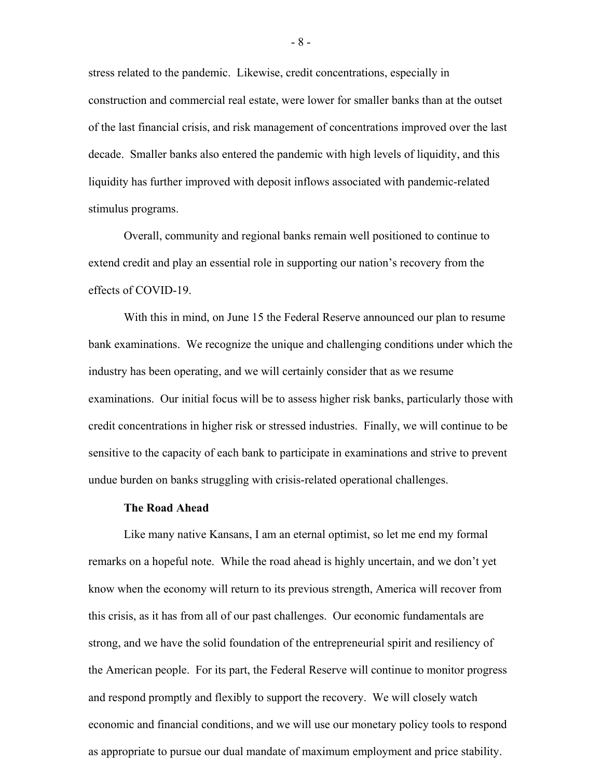stress related to the pandemic. Likewise, credit concentrations, especially in construction and commercial real estate, were lower for smaller banks than at the outset of the last financial crisis, and risk management of concentrations improved over the last decade. Smaller banks also entered the pandemic with high levels of liquidity, and this liquidity has further improved with deposit inflows associated with pandemic-related stimulus programs.

Overall, community and regional banks remain well positioned to continue to extend credit and play an essential role in supporting our nation's recovery from the effects of COVID-19.

With this in mind, on June 15 the Federal Reserve announced our plan to resume bank examinations. We recognize the unique and challenging conditions under which the industry has been operating, and we will certainly consider that as we resume examinations. Our initial focus will be to assess higher risk banks, particularly those with credit concentrations in higher risk or stressed industries. Finally, we will continue to be sensitive to the capacity of each bank to participate in examinations and strive to prevent undue burden on banks struggling with crisis-related operational challenges.

## **The Road Ahead**

Like many native Kansans, I am an eternal optimist, so let me end my formal remarks on a hopeful note. While the road ahead is highly uncertain, and we don't yet know when the economy will return to its previous strength, America will recover from this crisis, as it has from all of our past challenges. Our economic fundamentals are strong, and we have the solid foundation of the entrepreneurial spirit and resiliency of the American people. For its part, the Federal Reserve will continue to monitor progress and respond promptly and flexibly to support the recovery. We will closely watch economic and financial conditions, and we will use our monetary policy tools to respond as appropriate to pursue our dual mandate of maximum employment and price stability.

- 8 -